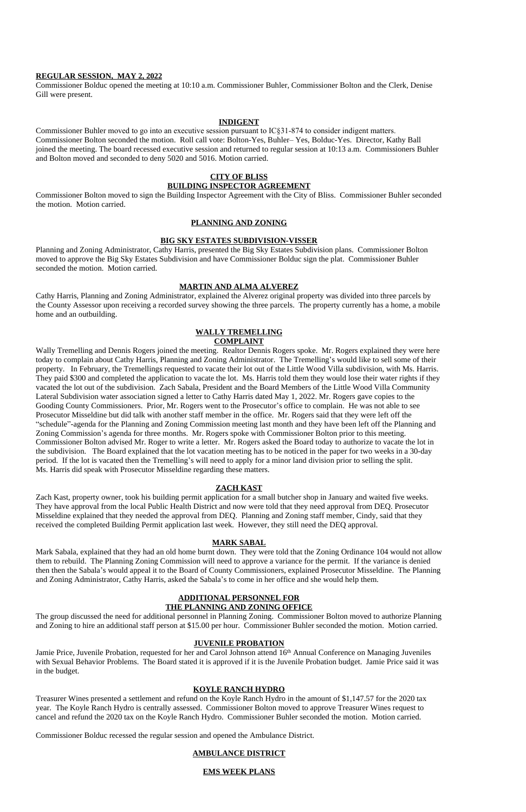## **REGULAR SESSION, MAY 2, 2022**

Commissioner Bolduc opened the meeting at 10:10 a.m. Commissioner Buhler, Commissioner Bolton and the Clerk, Denise Gill were present.

#### **INDIGENT**

Commissioner Buhler moved to go into an executive session pursuant to IC§31-874 to consider indigent matters. Commissioner Bolton seconded the motion. Roll call vote: Bolton-Yes, Buhler– Yes, Bolduc-Yes. Director, Kathy Ball joined the meeting. The board recessed executive session and returned to regular session at 10:13 a.m. Commissioners Buhler and Bolton moved and seconded to deny 5020 and 5016. Motion carried.

## **CITY OF BLISS BUILDING INSPECTOR AGREEMENT**

Commissioner Bolton moved to sign the Building Inspector Agreement with the City of Bliss. Commissioner Buhler seconded the motion. Motion carried.

## **PLANNING AND ZONING**

## **BIG SKY ESTATES SUBDIVISION-VISSER**

Planning and Zoning Administrator, Cathy Harris, presented the Big Sky Estates Subdivision plans. Commissioner Bolton moved to approve the Big Sky Estates Subdivision and have Commissioner Bolduc sign the plat. Commissioner Buhler seconded the motion. Motion carried.

#### **MARTIN AND ALMA ALVEREZ**

Cathy Harris, Planning and Zoning Administrator, explained the Alverez original property was divided into three parcels by the County Assessor upon receiving a recorded survey showing the three parcels. The property currently has a home, a mobile home and an outbuilding.

# **WALLY TREMELLING COMPLAINT**

Wally Tremelling and Dennis Rogers joined the meeting. Realtor Dennis Rogers spoke. Mr. Rogers explained they were here today to complain about Cathy Harris, Planning and Zoning Administrator. The Tremelling's would like to sell some of their property. In February, the Tremellings requested to vacate their lot out of the Little Wood Villa subdivision, with Ms. Harris. They paid \$300 and completed the application to vacate the lot. Ms. Harris told them they would lose their water rights if they vacated the lot out of the subdivision. Zach Sabala, President and the Board Members of the Little Wood Villa Community Lateral Subdivision water association signed a letter to Cathy Harris dated May 1, 2022. Mr. Rogers gave copies to the Gooding County Commissioners. Prior, Mr. Rogers went to the Prosecutor's office to complain. He was not able to see Prosecutor Misseldine but did talk with another staff member in the office. Mr. Rogers said that they were left off the "schedule"-agenda for the Planning and Zoning Commission meeting last month and they have been left off the Planning and Zoning Commission's agenda for three months. Mr. Rogers spoke with Commissioner Bolton prior to this meeting. Commissioner Bolton advised Mr. Roger to write a letter. Mr. Rogers asked the Board today to authorize to vacate the lot in the subdivision. The Board explained that the lot vacation meeting has to be noticed in the paper for two weeks in a 30-day period. If the lot is vacated then the Tremelling's will need to apply for a minor land division prior to selling the split. Ms. Harris did speak with Prosecutor Misseldine regarding these matters.

Jamie Price, Juvenile Probation, requested for her and Carol Johnson attend 16<sup>th</sup> Annual Conference on Managing Juveniles with Sexual Behavior Problems. The Board stated it is approved if it is the Juvenile Probation budget. Jamie Price said it was in the budget.

## **ZACH KAST**

Zach Kast, property owner, took his building permit application for a small butcher shop in January and waited five weeks. They have approval from the local Public Health District and now were told that they need approval from DEQ. Prosecutor Misseldine explained that they needed the approval from DEQ. Planning and Zoning staff member, Cindy, said that they received the completed Building Permit application last week. However, they still need the DEQ approval.

## **MARK SABAL**

Mark Sabala, explained that they had an old home burnt down. They were told that the Zoning Ordinance 104 would not allow them to rebuild. The Planning Zoning Commission will need to approve a variance for the permit. If the variance is denied then then the Sabala's would appeal it to the Board of County Commissioners, explained Prosecutor Misseldine. The Planning and Zoning Administrator, Cathy Harris, asked the Sabala's to come in her office and she would help them.

#### **ADDITIONAL PERSONNEL FOR THE PLANNING AND ZONING OFFICE**

The group discussed the need for additional personnel in Planning Zoning. Commissioner Bolton moved to authorize Planning and Zoning to hire an additional staff person at \$15.00 per hour. Commissioner Buhler seconded the motion. Motion carried.

## **JUVENILE PROBATION**

# **KOYLE RANCH HYDRO**

Treasurer Wines presented a settlement and refund on the Koyle Ranch Hydro in the amount of \$1,147.57 for the 2020 tax year. The Koyle Ranch Hydro is centrally assessed. Commissioner Bolton moved to approve Treasurer Wines request to cancel and refund the 2020 tax on the Koyle Ranch Hydro. Commissioner Buhler seconded the motion. Motion carried.

Commissioner Bolduc recessed the regular session and opened the Ambulance District.

# **AMBULANCE DISTRICT**

# **EMS WEEK PLANS**